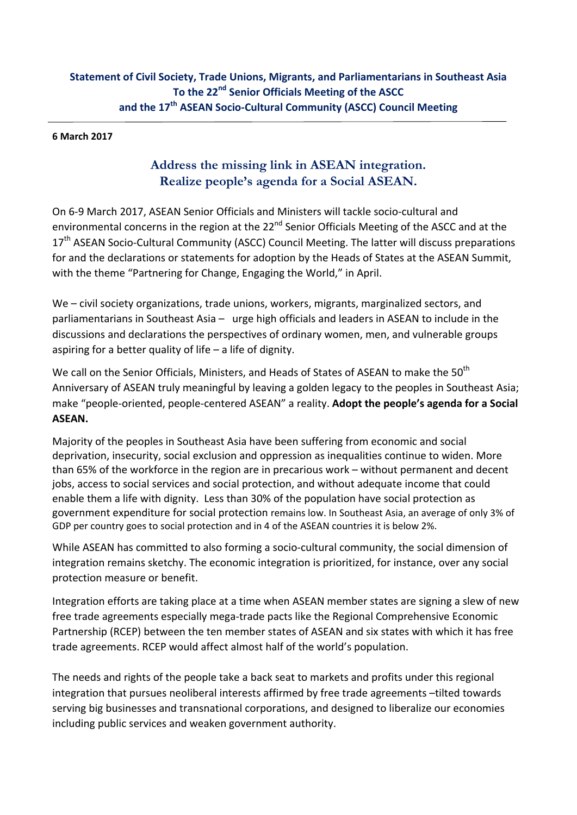### **6 March 2017**

# **Address the missing link in ASEAN integration. Realize people's agenda for a Social ASEAN.**

On 6‐9 March 2017, ASEAN Senior Officials and Ministers will tackle socio‐cultural and environmental concerns in the region at the 22<sup>nd</sup> Senior Officials Meeting of the ASCC and at the 17<sup>th</sup> ASEAN Socio-Cultural Community (ASCC) Council Meeting. The latter will discuss preparations for and the declarations or statements for adoption by the Heads of States at the ASEAN Summit, with the theme "Partnering for Change, Engaging the World," in April.

We – civil society organizations, trade unions, workers, migrants, marginalized sectors, and parliamentarians in Southeast Asia – urge high officials and leaders in ASEAN to include in the discussions and declarations the perspectives of ordinary women, men, and vulnerable groups aspiring for a better quality of life – a life of dignity.

We call on the Senior Officials, Ministers, and Heads of States of ASEAN to make the 50<sup>th</sup> Anniversary of ASEAN truly meaningful by leaving a golden legacy to the peoples in Southeast Asia; make "people‐oriented, people‐centered ASEAN" a reality. **Adopt the people's agenda for a Social ASEAN.**

Majority of the peoples in Southeast Asia have been suffering from economic and social deprivation, insecurity, social exclusion and oppression as inequalities continue to widen. More than 65% of the workforce in the region are in precarious work – without permanent and decent jobs, access to social services and social protection, and without adequate income that could enable them a life with dignity. Less than 30% of the population have social protection as government expenditure for social protection remains low. In Southeast Asia, an average of only 3% of GDP per country goes to social protection and in 4 of the ASEAN countries it is below 2%.

While ASEAN has committed to also forming a socio-cultural community, the social dimension of integration remains sketchy. The economic integration is prioritized, for instance, over any social protection measure or benefit.

Integration efforts are taking place at a time when ASEAN member states are signing a slew of new free trade agreements especially mega‐trade pacts like the Regional Comprehensive Economic Partnership (RCEP) between the ten member states of ASEAN and six states with which it has free trade agreements. RCEP would affect almost half of the world's population.

The needs and rights of the people take a back seat to markets and profits under this regional integration that pursues neoliberal interests affirmed by free trade agreements –tilted towards serving big businesses and transnational corporations, and designed to liberalize our economies including public services and weaken government authority.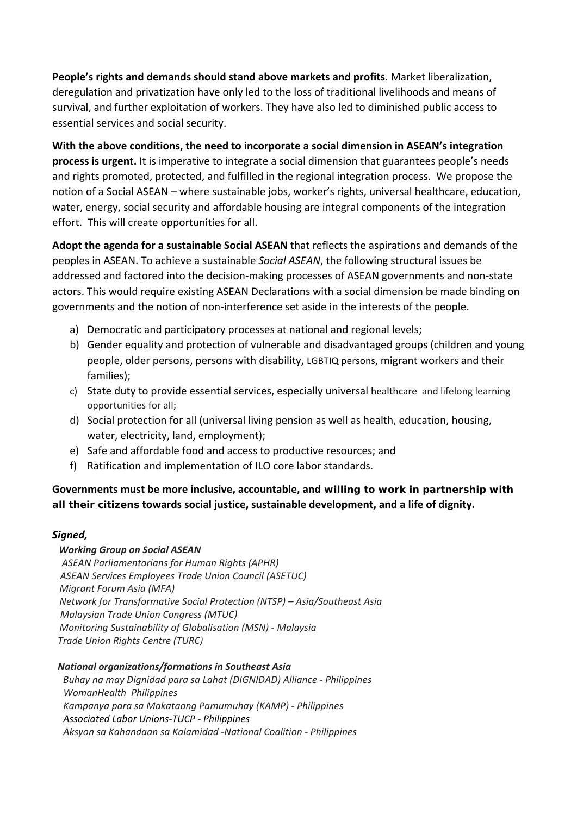**People's rights and demands should stand above markets and profits**. Market liberalization, deregulation and privatization have only led to the loss of traditional livelihoods and means of survival, and further exploitation of workers. They have also led to diminished public access to essential services and social security.

**With the above conditions, the need to incorporate a social dimension in ASEAN's integration process is urgent.** It is imperative to integrate a social dimension that guarantees people's needs and rights promoted, protected, and fulfilled in the regional integration process. We propose the notion of a Social ASEAN – where sustainable jobs, worker's rights, universal healthcare, education, water, energy, social security and affordable housing are integral components of the integration effort. This will create opportunities for all.

**Adopt the agenda for a sustainable Social ASEAN** that reflects the aspirations and demands of the peoples in ASEAN. To achieve a sustainable *Social ASEAN*, the following structural issues be addressed and factored into the decision‐making processes of ASEAN governments and non‐state actors. This would require existing ASEAN Declarations with a social dimension be made binding on governments and the notion of non‐interference set aside in the interests of the people.

- a) Democratic and participatory processes at national and regional levels;
- b) Gender equality and protection of vulnerable and disadvantaged groups (children and young people, older persons, persons with disability, LGBTIQ persons, migrant workers and their families);
- c) State duty to provide essential services, especially universal healthcare and lifelong learning opportunities for all;
- d) Social protection for all (universal living pension as well as health, education, housing, water, electricity, land, employment);
- e) Safe and affordable food and access to productive resources; and
- f) Ratification and implementation of ILO core labor standards.

**Governments must be more inclusive, accountable, and willing to work in partnership with all their citizens towards social justice, sustainable development, and a life of dignity.**

## *Signed,*

## *Working Group on Social ASEAN*

 *ASEAN Parliamentarians for Human Rights (APHR) ASEAN Services Employees Trade Union Council (ASETUC) Migrant Forum Asia (MFA) Network for Transformative Social Protection (NTSP) – Asia/Southeast Asia Malaysian Trade Union Congress (MTUC) Monitoring Sustainability of Globalisation (MSN) ‐ Malaysia Trade Union Rights Centre (TURC)*

#### *National organizations/formations in Southeast Asia*

 *Buhay na may Dignidad para sa Lahat (DIGNIDAD) Alliance ‐ Philippines WomanHealth Philippines Kampanya para sa Makataong Pamumuhay (KAMP) ‐ Philippines Associated Labor Unions‐TUCP ‐ Philippines Aksyon sa Kahandaan sa Kalamidad ‐National Coalition ‐ Philippines*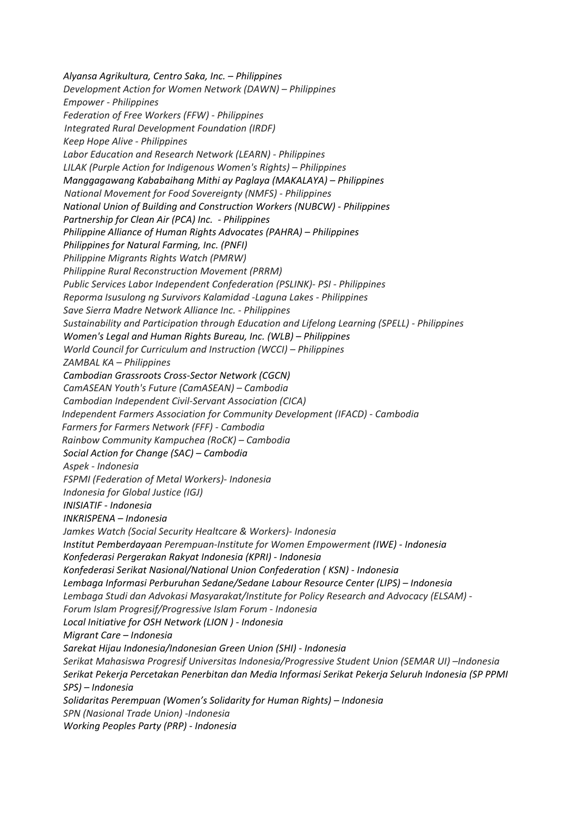*Alyansa Agrikultura, Centro Saka, Inc. – Philippines Development Action for Women Network (DAWN) – Philippines Empower ‐ Philippines Federation of Free Workers (FFW) ‐ Philippines Integrated Rural Development Foundation (IRDF) Keep Hope Alive ‐ Philippines Labor Education and Research Network (LEARN) ‐ Philippines LILAK (Purple Action for Indigenous Women's Rights) – Philippines Manggagawang Kababaihang Mithi ay Paglaya (MAKALAYA) – Philippines National Movement for Food Sovereignty (NMFS) ‐ Philippines National Union of Building and Construction Workers (NUBCW) ‐ Philippines Partnership for Clean Air (PCA) Inc. ‐ Philippines Philippine Alliance of Human Rights Advocates (PAHRA) – Philippines Philippines for Natural Farming, Inc. (PNFI) Philippine Migrants Rights Watch (PMRW) Philippine Rural Reconstruction Movement (PRRM) Public Services Labor Independent Confederation (PSLINK)‐ PSI ‐ Philippines Reporma Isusulong ng Survivors Kalamidad ‐Laguna Lakes ‐ Philippines Save Sierra Madre Network Alliance Inc. ‐ Philippines Sustainability and Participation through Education and Lifelong Learning (SPELL) ‐ Philippines Women's Legal and Human Rights Bureau, Inc. (WLB) – Philippines World Council for Curriculum and Instruction (WCCI) – Philippines ZAMBAL KA – Philippines Cambodian Grassroots Cross‐Sector Network (CGCN) CamASEAN Youth's Future (CamASEAN) – Cambodia Cambodian Independent Civil‐Servant Association (CICA) Independent Farmers Association for Community Development (IFACD) ‐ Cambodia Farmers for Farmers Network (FFF) ‐ Cambodia Rainbow Community Kampuchea (RoCK) – Cambodia Social Action for Change (SAC) – Cambodia Aspek ‐ Indonesia FSPMI (Federation of Metal Workers)‐ Indonesia Indonesia for Global Justice (IGJ) INISIATIF ‐ Indonesia INKRISPENA – Indonesia Jamkes Watch (Social Security Healtcare & Workers)‐ Indonesia Institut Pemberdayaan Perempuan‐Institute for Women Empowerment (IWE) ‐ Indonesia Konfederasi Pergerakan Rakyat Indonesia (KPRI) ‐ Indonesia Konfederasi Serikat Nasional/National Union Confederation ( KSN) ‐ Indonesia Lembaga Informasi Perburuhan Sedane/Sedane Labour Resource Center (LIPS) – Indonesia Lembaga Studi dan Advokasi Masyarakat/Institute for Policy Research and Advocacy (ELSAM) ‐ Forum Islam Progresif/Progressive Islam Forum ‐ Indonesia Local Initiative for OSH Network (LION ) ‐ Indonesia Migrant Care – Indonesia Sarekat Hijau Indonesia/Indonesian Green Union (SHI) ‐ Indonesia Serikat Mahasiswa Progresif Universitas Indonesia/Progressive Student Union (SEMAR UI) –Indonesia Serikat Pekerja Percetakan Penerbitan dan Media Informasi Serikat Pekerja Seluruh Indonesia (SP PPMI SPS) – Indonesia Solidaritas Perempuan (Women's Solidarity for Human Rights) – Indonesia SPN (Nasional Trade Union) ‐Indonesia Working Peoples Party (PRP) ‐ Indonesia*